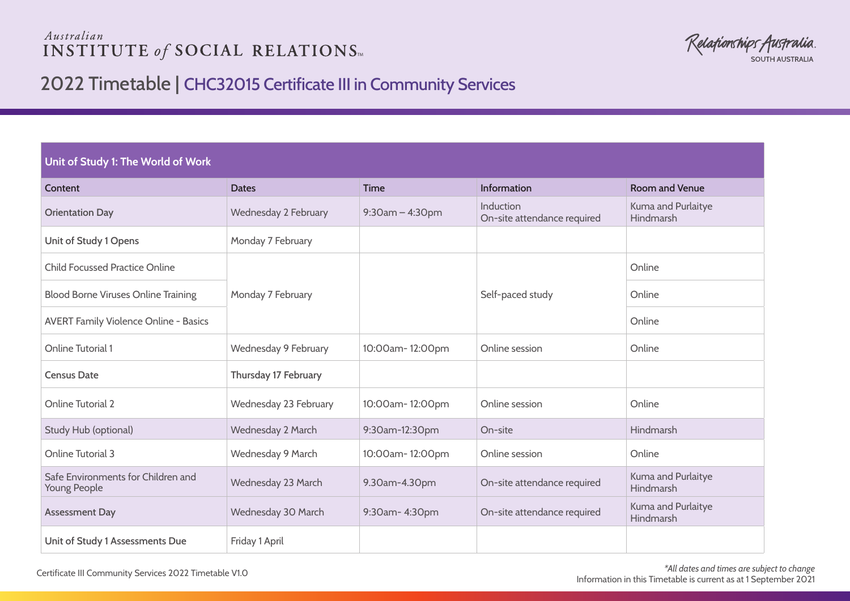## Australian **INSTITUTE of SOCIAL RELATIONS**

Relafionships Australia **SOUTH AUSTRALIA** 

## 2022 Timetable | CHC32015 Certificate III in Community Services

## **Unit of Study 1: The World of Work**

| Content                                            | <b>Dates</b>          | <b>Time</b>        | <b>Information</b>                       | <b>Room and Venue</b>           |
|----------------------------------------------------|-----------------------|--------------------|------------------------------------------|---------------------------------|
| <b>Orientation Day</b>                             | Wednesday 2 February  | $9:30$ am - 4:30pm | Induction<br>On-site attendance required | Kuma and Purlaitye<br>Hindmarsh |
| Unit of Study 1 Opens                              | Monday 7 February     |                    |                                          |                                 |
| <b>Child Focussed Practice Online</b>              |                       |                    |                                          | Online                          |
| <b>Blood Borne Viruses Online Training</b>         | Monday 7 February     |                    | Self-paced study                         | Online                          |
| <b>AVERT Family Violence Online - Basics</b>       |                       |                    |                                          | Online                          |
| <b>Online Tutorial 1</b>                           | Wednesday 9 February  | 10:00am-12:00pm    | Online session                           | Online                          |
| <b>Census Date</b>                                 | Thursday 17 February  |                    |                                          |                                 |
| <b>Online Tutorial 2</b>                           | Wednesday 23 February | 10:00am-12:00pm    | Online session                           | Online                          |
| Study Hub (optional)                               | Wednesday 2 March     | 9:30am-12:30pm     | On-site                                  | Hindmarsh                       |
| Online Tutorial 3                                  | Wednesday 9 March     | 10:00am-12:00pm    | Online session                           | Online                          |
| Safe Environments for Children and<br>Young People | Wednesday 23 March    | 9.30am-4.30pm      | On-site attendance required              | Kuma and Purlaitye<br>Hindmarsh |
| <b>Assessment Day</b>                              | Wednesday 30 March    | 9:30am-4:30pm      | On-site attendance required              | Kuma and Purlaitye<br>Hindmarsh |
| Unit of Study 1 Assessments Due                    | Friday 1 April        |                    |                                          |                                 |

*\*All dates and times are subject to change* Information in this Timetable is current as at 1 September 2021 Certificate III Community Services 2022 Timetable V1.0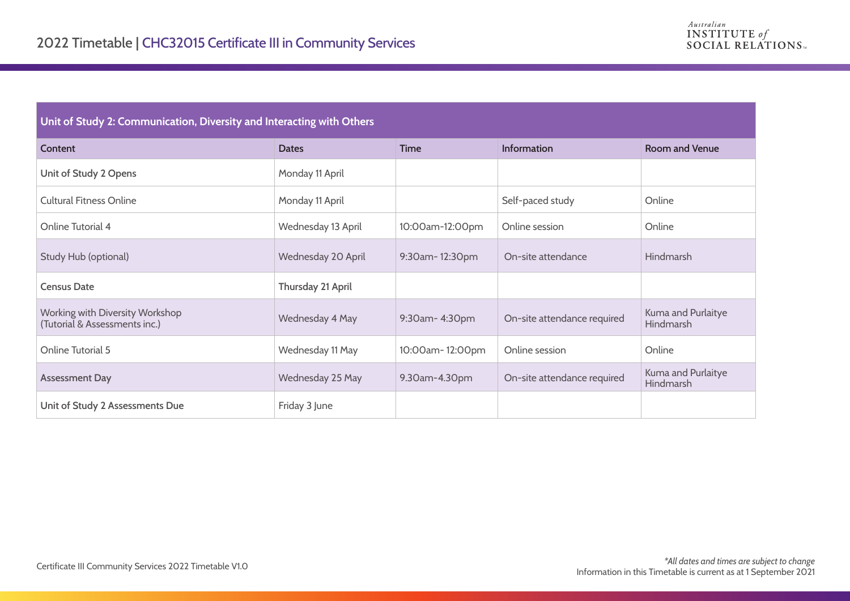## **Unit of Study 2: Communication, Diversity and Interacting with Others**

| Content                                                          | <b>Dates</b>       | <b>Time</b>     | <b>Information</b>          | <b>Room and Venue</b>                  |
|------------------------------------------------------------------|--------------------|-----------------|-----------------------------|----------------------------------------|
| Unit of Study 2 Opens                                            | Monday 11 April    |                 |                             |                                        |
| <b>Cultural Fitness Online</b>                                   | Monday 11 April    |                 | Self-paced study            | Online                                 |
| Online Tutorial 4                                                | Wednesday 13 April | 10:00am-12:00pm | Online session              | Online                                 |
| Study Hub (optional)                                             | Wednesday 20 April | 9:30am-12:30pm  | On-site attendance          | Hindmarsh                              |
| <b>Census Date</b>                                               | Thursday 21 April  |                 |                             |                                        |
| Working with Diversity Workshop<br>(Tutorial & Assessments inc.) | Wednesday 4 May    | 9:30am-4:30pm   | On-site attendance required | Kuma and Purlaitye<br><b>Hindmarsh</b> |
| Online Tutorial 5                                                | Wednesday 11 May   | 10:00am-12:00pm | Online session              | Online                                 |
| <b>Assessment Day</b>                                            | Wednesday 25 May   | 9.30am-4.30pm   | On-site attendance required | Kuma and Purlaitye<br>Hindmarsh        |
| Unit of Study 2 Assessments Due                                  | Friday 3 June      |                 |                             |                                        |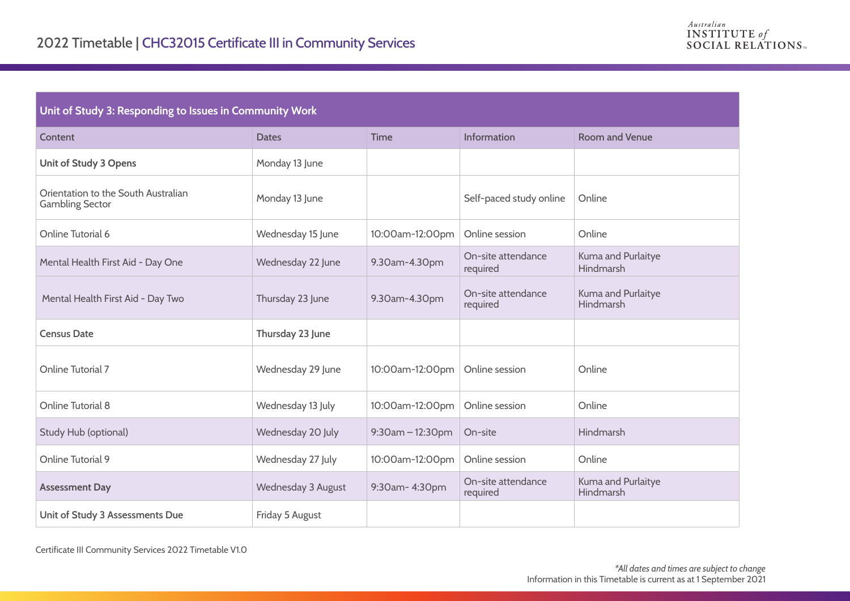| Unit of Study 3: Responding to Issues in Community Work       |                    |                                  |                                |                                 |  |
|---------------------------------------------------------------|--------------------|----------------------------------|--------------------------------|---------------------------------|--|
| Content                                                       | <b>Dates</b>       | <b>Time</b>                      | Information                    | <b>Room and Venue</b>           |  |
| Unit of Study 3 Opens                                         | Monday 13 June     |                                  |                                |                                 |  |
| Orientation to the South Australian<br><b>Gambling Sector</b> | Monday 13 June     |                                  | Self-paced study online        | Online                          |  |
| Online Tutorial 6                                             | Wednesday 15 June  | 10:00am-12:00pm                  | Online session                 | Online                          |  |
| Mental Health First Aid - Day One                             | Wednesday 22 June  | 9.30am-4.30pm                    | On-site attendance<br>required | Kuma and Purlaitye<br>Hindmarsh |  |
| Mental Health First Aid - Day Two                             | Thursday 23 June   | 9.30am-4.30pm                    | On-site attendance<br>required | Kuma and Purlaitye<br>Hindmarsh |  |
| <b>Census Date</b>                                            | Thursday 23 June   |                                  |                                |                                 |  |
| Online Tutorial 7                                             | Wednesday 29 June  | 10:00am-12:00pm   Online session |                                | Online                          |  |
| Online Tutorial 8                                             | Wednesday 13 July  | 10:00am-12:00pm                  | Online session                 | Online                          |  |
| Study Hub (optional)                                          | Wednesday 20 July  | 9:30am - 12:30pm                 | On-site                        | Hindmarsh                       |  |
| Online Tutorial 9                                             | Wednesday 27 July  | 10:00am-12:00pm                  | Online session                 | Online                          |  |
| <b>Assessment Day</b>                                         | Wednesday 3 August | 9:30am-4:30pm                    | On-site attendance<br>required | Kuma and Purlaitye<br>Hindmarsh |  |
| Unit of Study 3 Assessments Due                               | Friday 5 August    |                                  |                                |                                 |  |

Certificate III Community Services 2022 Timetable V1.0